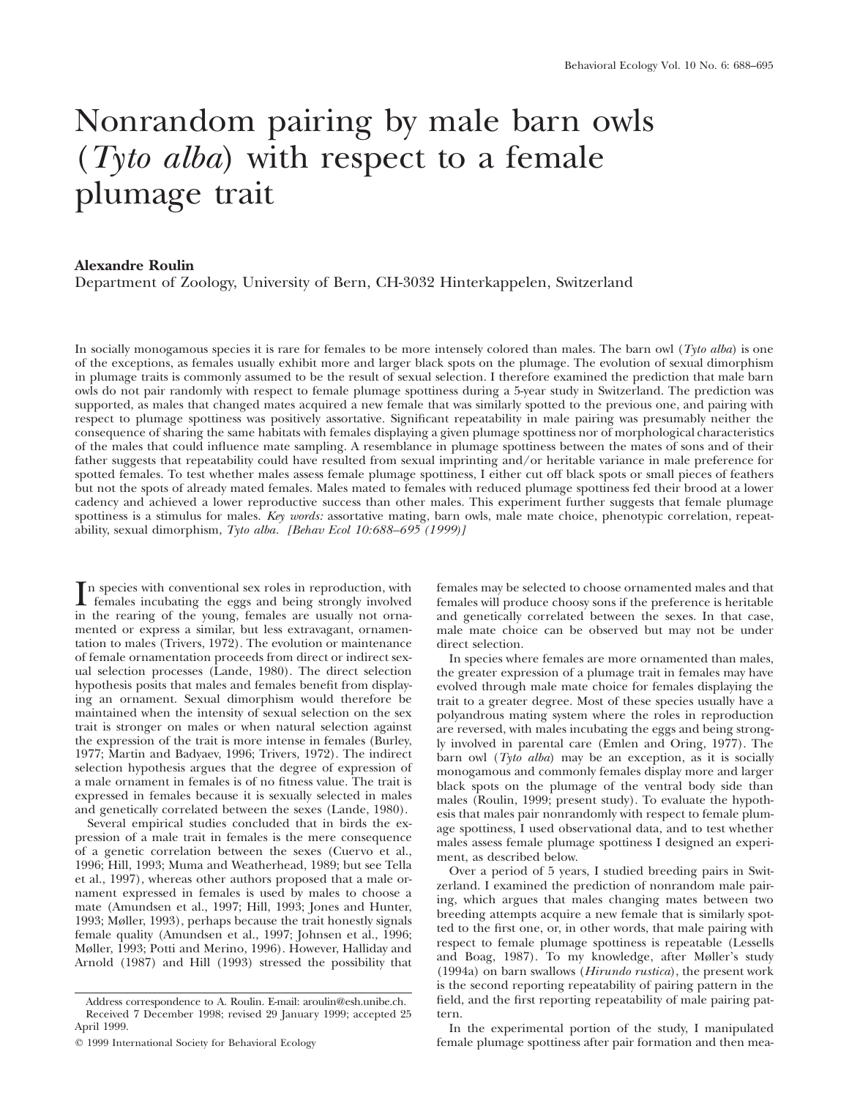# Nonrandom pairing by male barn owls (*Tyto alba*) with respect to a female plumage trait

# **Alexandre Roulin**

Department of Zoology, University of Bern, CH-3032 Hinterkappelen, Switzerland

In socially monogamous species it is rare for females to be more intensely colored than males. The barn owl (*Tyto alba*) is one of the exceptions, as females usually exhibit more and larger black spots on the plumage. The evolution of sexual dimorphism in plumage traits is commonly assumed to be the result of sexual selection. I therefore examined the prediction that male barn owls do not pair randomly with respect to female plumage spottiness during a 5-year study in Switzerland. The prediction was supported, as males that changed mates acquired a new female that was similarly spotted to the previous one, and pairing with respect to plumage spottiness was positively assortative. Significant repeatability in male pairing was presumably neither the consequence of sharing the same habitats with females displaying a given plumage spottiness nor of morphological characteristics of the males that could influence mate sampling. A resemblance in plumage spottiness between the mates of sons and of their father suggests that repeatability could have resulted from sexual imprinting and/or heritable variance in male preference for spotted females. To test whether males assess female plumage spottiness, I either cut off black spots or small pieces of feathers but not the spots of already mated females. Males mated to females with reduced plumage spottiness fed their brood at a lower cadency and achieved a lower reproductive success than other males. This experiment further suggests that female plumage spottiness is a stimulus for males. *Key words:* assortative mating, barn owls, male mate choice, phenotypic correlation, repeatability, sexual dimorphism, *Tyto alba. [Behav Ecol 10:688–695 (1999)]*

In species with conventional sex roles in reproduction, with<br>females incubating the eggs and being strongly involved<br>in the regring of the young females are usually not error females incubating the eggs and being strongly involved in the rearing of the young, females are usually not ornamented or express a similar, but less extravagant, ornamentation to males (Trivers, 1972). The evolution or maintenance of female ornamentation proceeds from direct or indirect sexual selection processes (Lande, 1980). The direct selection hypothesis posits that males and females benefit from displaying an ornament. Sexual dimorphism would therefore be maintained when the intensity of sexual selection on the sex trait is stronger on males or when natural selection against the expression of the trait is more intense in females (Burley, 1977; Martin and Badyaev, 1996; Trivers, 1972). The indirect selection hypothesis argues that the degree of expression of a male ornament in females is of no fitness value. The trait is expressed in females because it is sexually selected in males and genetically correlated between the sexes (Lande, 1980).

Several empirical studies concluded that in birds the expression of a male trait in females is the mere consequence of a genetic correlation between the sexes (Cuervo et al., 1996; Hill, 1993; Muma and Weatherhead, 1989; but see Tella et al., 1997), whereas other authors proposed that a male ornament expressed in females is used by males to choose a mate (Amundsen et al., 1997; Hill, 1993; Jones and Hunter, 1993; Møller, 1993), perhaps because the trait honestly signals female quality (Amundsen et al., 1997; Johnsen et al., 1996; Møller, 1993; Potti and Merino, 1996). However, Halliday and Arnold (1987) and Hill (1993) stressed the possibility that

females may be selected to choose ornamented males and that females will produce choosy sons if the preference is heritable and genetically correlated between the sexes. In that case, male mate choice can be observed but may not be under direct selection.

In species where females are more ornamented than males, the greater expression of a plumage trait in females may have evolved through male mate choice for females displaying the trait to a greater degree. Most of these species usually have a polyandrous mating system where the roles in reproduction are reversed, with males incubating the eggs and being strongly involved in parental care (Emlen and Oring, 1977). The barn owl (*Tyto alba*) may be an exception, as it is socially monogamous and commonly females display more and larger black spots on the plumage of the ventral body side than males (Roulin, 1999; present study). To evaluate the hypothesis that males pair nonrandomly with respect to female plumage spottiness, I used observational data, and to test whether males assess female plumage spottiness I designed an experiment, as described below.

Over a period of 5 years, I studied breeding pairs in Switzerland. I examined the prediction of nonrandom male pairing, which argues that males changing mates between two breeding attempts acquire a new female that is similarly spotted to the first one, or, in other words, that male pairing with respect to female plumage spottiness is repeatable (Lessells and Boag, 1987). To my knowledge, after Møller's study (1994a) on barn swallows (*Hirundo rustica*), the present work is the second reporting repeatability of pairing pattern in the field, and the first reporting repeatability of male pairing pattern.

In the experimental portion of the study, I manipulated female plumage spottiness after pair formation and then mea-

Address correspondence to A. Roulin. E-mail: aroulin@esh.unibe.ch. Received 7 December 1998; revised 29 January 1999; accepted 25 April 1999.

 $© 1999 International Society for Behavioral Ecology$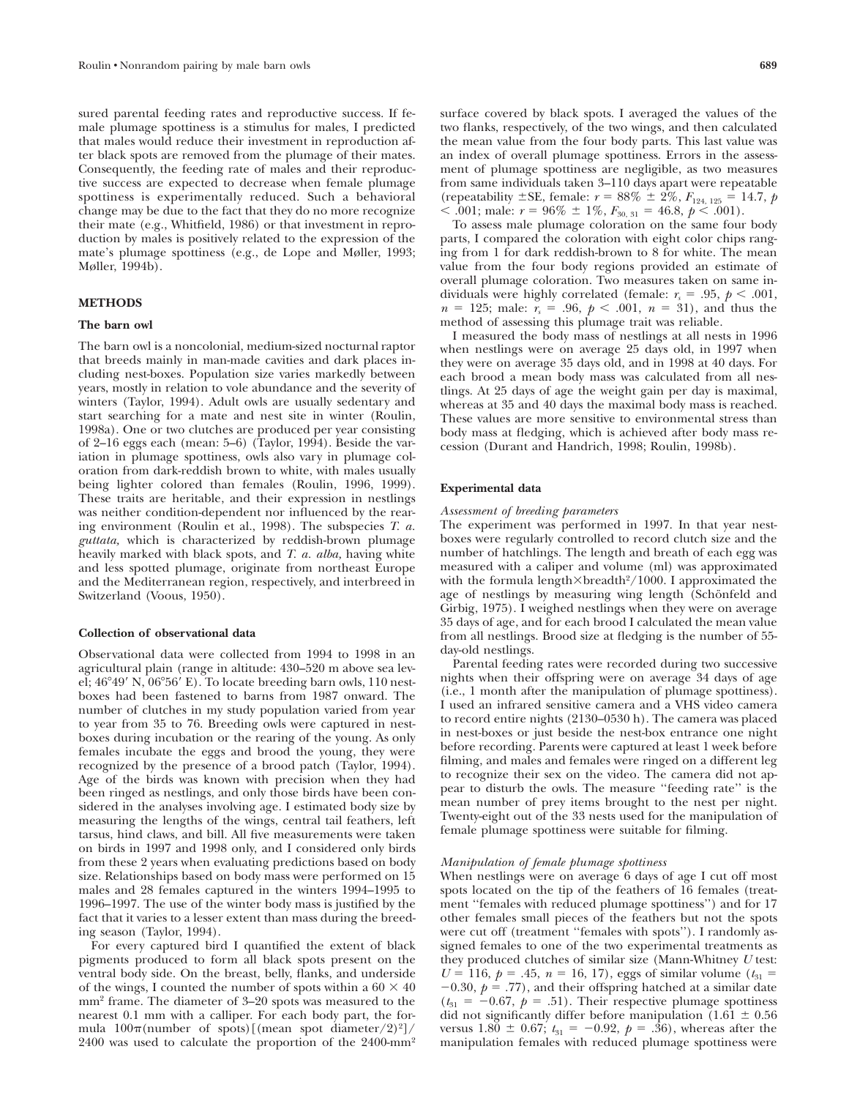sured parental feeding rates and reproductive success. If female plumage spottiness is a stimulus for males, I predicted that males would reduce their investment in reproduction after black spots are removed from the plumage of their mates. Consequently, the feeding rate of males and their reproductive success are expected to decrease when female plumage spottiness is experimentally reduced. Such a behavioral change may be due to the fact that they do no more recognize their mate (e.g., Whitfield, 1986) or that investment in reproduction by males is positively related to the expression of the mate's plumage spottiness (e.g., de Lope and Møller, 1993; Møller, 1994b).

# **METHODS**

# **The barn owl**

The barn owl is a noncolonial, medium-sized nocturnal raptor that breeds mainly in man-made cavities and dark places including nest-boxes. Population size varies markedly between years, mostly in relation to vole abundance and the severity of winters (Taylor, 1994). Adult owls are usually sedentary and start searching for a mate and nest site in winter (Roulin, 1998a). One or two clutches are produced per year consisting of 2–16 eggs each (mean: 5–6) (Taylor, 1994). Beside the variation in plumage spottiness, owls also vary in plumage coloration from dark-reddish brown to white, with males usually being lighter colored than females (Roulin, 1996, 1999). These traits are heritable, and their expression in nestlings was neither condition-dependent nor influenced by the rearing environment (Roulin et al., 1998). The subspecies *T. a. guttata,* which is characterized by reddish-brown plumage heavily marked with black spots, and *T. a. alba,* having white and less spotted plumage, originate from northeast Europe and the Mediterranean region, respectively, and interbreed in Switzerland (Voous, 1950).

#### **Collection of observational data**

Observational data were collected from 1994 to 1998 in an agricultural plain (range in altitude: 430–520 m above sea level;  $46^{\circ}49'$  N,  $06^{\circ}56'$  E). To locate breeding barn owls, 110 nestboxes had been fastened to barns from 1987 onward. The number of clutches in my study population varied from year to year from 35 to 76. Breeding owls were captured in nestboxes during incubation or the rearing of the young. As only females incubate the eggs and brood the young, they were recognized by the presence of a brood patch (Taylor, 1994). Age of the birds was known with precision when they had been ringed as nestlings, and only those birds have been considered in the analyses involving age. I estimated body size by measuring the lengths of the wings, central tail feathers, left tarsus, hind claws, and bill. All five measurements were taken on birds in 1997 and 1998 only, and I considered only birds from these 2 years when evaluating predictions based on body size. Relationships based on body mass were performed on 15 males and 28 females captured in the winters 1994–1995 to 1996–1997. The use of the winter body mass is justified by the fact that it varies to a lesser extent than mass during the breeding season (Taylor, 1994).

For every captured bird I quantified the extent of black pigments produced to form all black spots present on the ventral body side. On the breast, belly, flanks, and underside of the wings, I counted the number of spots within a  $60 \times 40$ mm2 frame. The diameter of 3–20 spots was measured to the nearest 0.1 mm with a calliper. For each body part, the formula  $100\pi$ (number of spots)[(mean spot diameter/2)<sup>2</sup>]/ 2400 was used to calculate the proportion of the 2400-mm2

surface covered by black spots. I averaged the values of the two flanks, respectively, of the two wings, and then calculated the mean value from the four body parts. This last value was an index of overall plumage spottiness. Errors in the assessment of plumage spottiness are negligible, as two measures from same individuals taken 3–110 days apart were repeatable (repeatability  $\pm$  SE, female:  $r = 88\% \pm 2\%$ ,  $F_{124, 125} = 14.7$ , *p*  $< .001$ ; male:  $r = 96\% \pm 1\%, F_{30, 31} = 46.8, p < .001$ .

To assess male plumage coloration on the same four body parts, I compared the coloration with eight color chips ranging from 1 for dark reddish-brown to 8 for white. The mean value from the four body regions provided an estimate of overall plumage coloration. Two measures taken on same individuals were highly correlated (female:  $r_s = .95, p < .001,$  $n = 125$ ; male:  $r_s = .96$ ,  $p < .001$ ,  $n = 31$ ), and thus the method of assessing this plumage trait was reliable.

I measured the body mass of nestlings at all nests in 1996 when nestlings were on average 25 days old, in 1997 when they were on average 35 days old, and in 1998 at 40 days. For each brood a mean body mass was calculated from all nestlings. At 25 days of age the weight gain per day is maximal, whereas at 35 and 40 days the maximal body mass is reached. These values are more sensitive to environmental stress than body mass at fledging, which is achieved after body mass recession (Durant and Handrich, 1998; Roulin, 1998b).

#### **Experimental data**

#### *Assessment of breeding parameters*

The experiment was performed in 1997. In that year nestboxes were regularly controlled to record clutch size and the number of hatchlings. The length and breath of each egg was measured with a caliper and volume (ml) was approximated with the formula length $\times$ breadth<sup>2</sup>/1000. I approximated the age of nestlings by measuring wing length (Schönfeld and Girbig, 1975). I weighed nestlings when they were on average 35 days of age, and for each brood I calculated the mean value from all nestlings. Brood size at fledging is the number of 55 day-old nestlings.

Parental feeding rates were recorded during two successive nights when their offspring were on average 34 days of age (i.e., 1 month after the manipulation of plumage spottiness). I used an infrared sensitive camera and a VHS video camera to record entire nights (2130–0530 h). The camera was placed in nest-boxes or just beside the nest-box entrance one night before recording. Parents were captured at least 1 week before filming, and males and females were ringed on a different leg to recognize their sex on the video. The camera did not appear to disturb the owls. The measure ''feeding rate'' is the mean number of prey items brought to the nest per night. Twenty-eight out of the 33 nests used for the manipulation of female plumage spottiness were suitable for filming.

#### *Manipulation of female plumage spottiness*

When nestlings were on average 6 days of age I cut off most spots located on the tip of the feathers of 16 females (treatment ''females with reduced plumage spottiness'') and for 17 other females small pieces of the feathers but not the spots were cut off (treatment ''females with spots''). I randomly assigned females to one of the two experimental treatments as they produced clutches of similar size (Mann-Whitney *U* test:  $U = 116$ ,  $p = .45$ ,  $n = 16, 17$ ), eggs of similar volume ( $t_{31} =$  $-0.30, p = .77$ , and their offspring hatched at a similar date  $(t_{31} = -0.67, p = .51)$ . Their respective plumage spottiness did not significantly differ before manipulation (1.61  $\pm$  0.56 versus 1.80  $\pm$  0.67;  $t_{31} = -0.92$ ,  $p = .36$ ), whereas after the manipulation females with reduced plumage spottiness were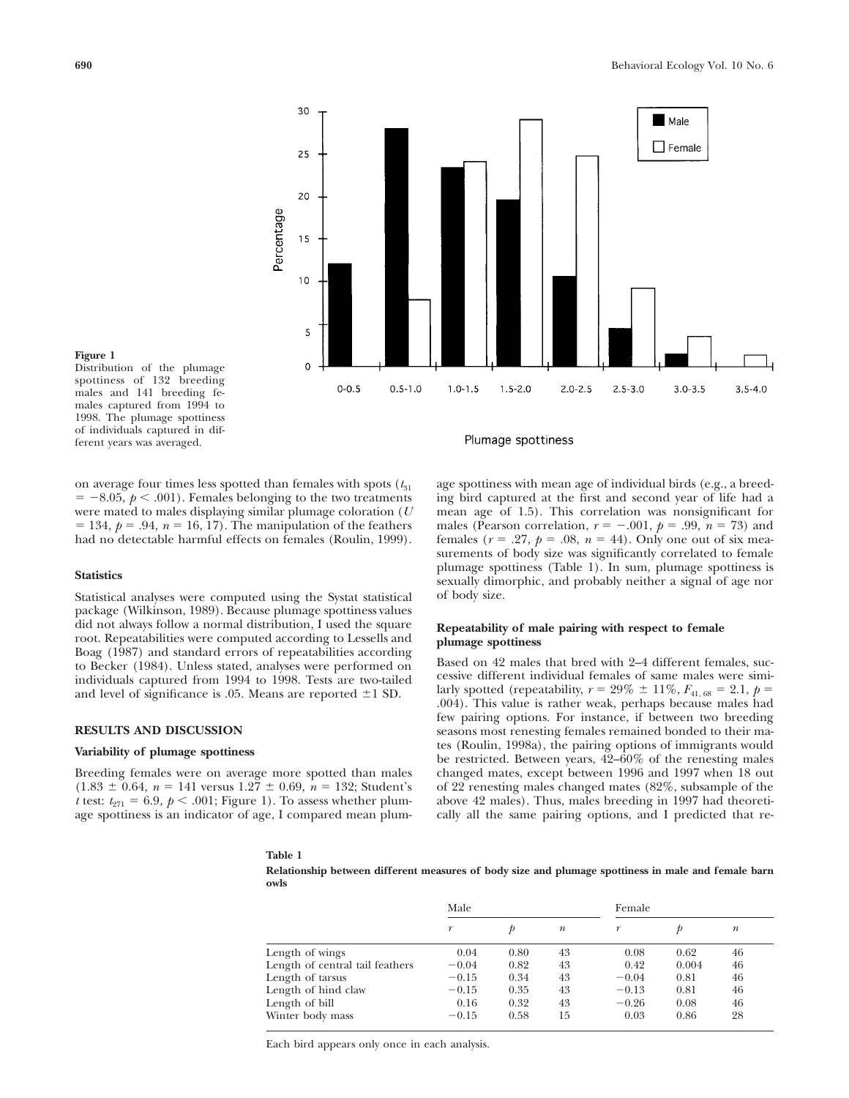

# **Figure 1**

Distribution of the plumage spottiness of 132 breeding males and 141 breeding females captured from 1994 to 1998. The plumage spottiness of individuals captured in different years was averaged.

on average four times less spotted than females with spots  $(t_{31})$  $= -8.05, p < .001$ ). Females belonging to the two treatments were mated to males displaying similar plumage coloration (*U*  $= 134, p = .94, n = 16, 17$ . The manipulation of the feathers had no detectable harmful effects on females (Roulin, 1999).

#### **Statistics**

Statistical analyses were computed using the Systat statistical package (Wilkinson, 1989). Because plumage spottiness values did not always follow a normal distribution, I used the square root. Repeatabilities were computed according to Lessells and Boag (1987) and standard errors of repeatabilities according to Becker (1984). Unless stated, analyses were performed on individuals captured from 1994 to 1998. Tests are two-tailed and level of significance is .05. Means are reported  $\pm 1$  SD.

# **RESULTS AND DISCUSSION**

# **Variability of plumage spottiness**

Breeding females were on average more spotted than males  $(1.83 \pm 0.64, n = 141 \text{ versus } 1.27 \pm 0.69, n = 132;$  Student's *t* test:  $t_{271} = 6.9$ ,  $p < .001$ ; Figure 1). To assess whether plumage spottiness is an indicator of age, I compared mean plumage spottiness with mean age of individual birds (e.g., a breeding bird captured at the first and second year of life had a mean age of 1.5). This correlation was nonsignificant for males (Pearson correlation,  $r = -.001$ ,  $p = .99$ ,  $n = 73$ ) and females ( $r = .27$ ,  $p = .08$ ,  $n = 44$ ). Only one out of six measurements of body size was significantly correlated to female plumage spottiness (Table 1). In sum, plumage spottiness is sexually dimorphic, and probably neither a signal of age nor of body size.

#### **Repeatability of male pairing with respect to female plumage spottiness**

Based on 42 males that bred with 2–4 different females, successive different individual females of same males were similarly spotted (repeatability,  $r = 29\% \pm 11\%, F_{41, 68} = 2.1, p =$ .004). This value is rather weak, perhaps because males had few pairing options. For instance, if between two breeding seasons most renesting females remained bonded to their mates (Roulin, 1998a), the pairing options of immigrants would be restricted. Between years, 42–60% of the renesting males changed mates, except between 1996 and 1997 when 18 out of 22 renesting males changed mates (82%, subsample of the above 42 males). Thus, males breeding in 1997 had theoretically all the same pairing options, and I predicted that re-

#### **Table 1**

**Relationship between different measures of body size and plumage spottiness in male and female barn owls**

|                                 | Male    |      |                  | Female  |       |                  |
|---------------------------------|---------|------|------------------|---------|-------|------------------|
|                                 | r       |      | $\boldsymbol{n}$ |         |       | $\boldsymbol{n}$ |
| Length of wings                 | 0.04    | 0.80 | 43               | 0.08    | 0.62  | 46               |
| Length of central tail feathers | $-0.04$ | 0.82 | 43               | 0.42    | 0.004 | 46               |
| Length of tarsus                | $-0.15$ | 0.34 | 43               | $-0.04$ | 0.81  | 46               |
| Length of hind claw             | $-0.15$ | 0.35 | 43               | $-0.13$ | 0.81  | 46               |
| Length of bill                  | 0.16    | 0.32 | 43               | $-0.26$ | 0.08  | 46               |
| Winter body mass                | $-0.15$ | 0.58 | 15               | 0.03    | 0.86  | 28               |

Each bird appears only once in each analysis.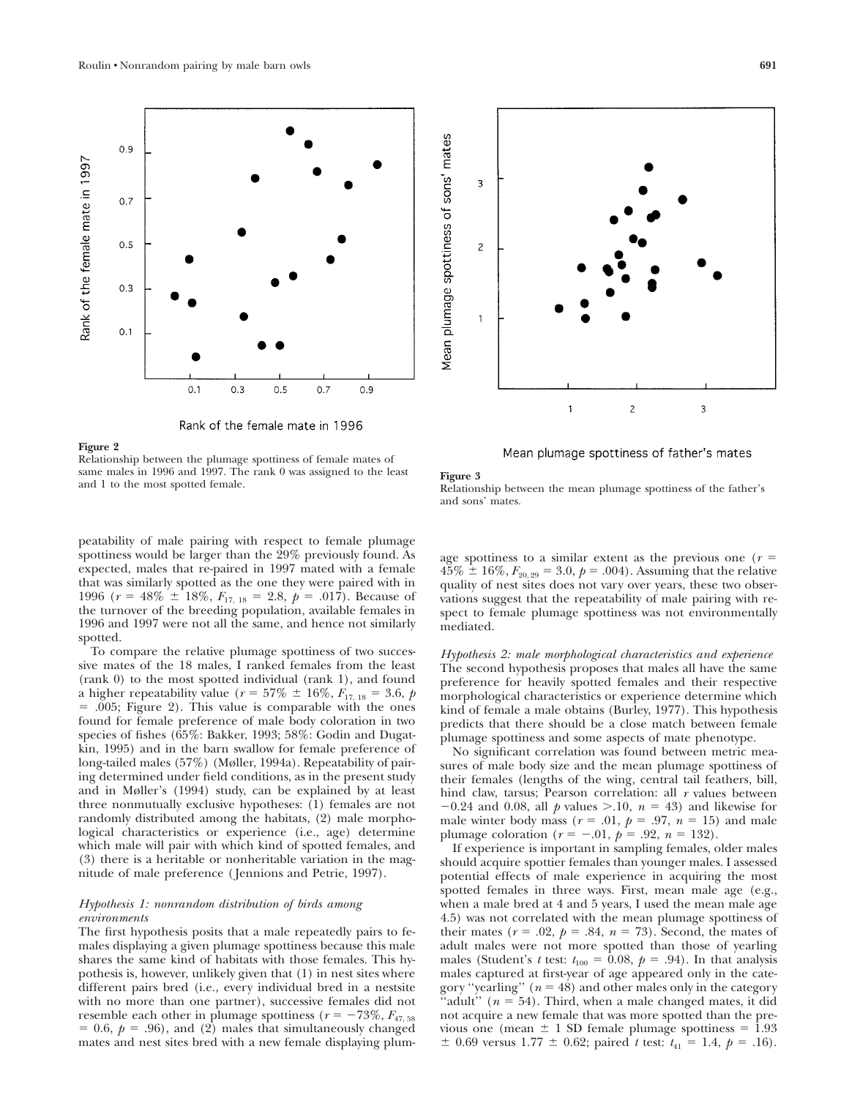

Rank of the female mate in 1996

**Figure 2**

Relationship between the plumage spottiness of female mates of same males in 1996 and 1997. The rank 0 was assigned to the least same males in 1996 and 1997. The rank 0 was assigned to the least<br>and 1 to the most spotted female.

peatability of male pairing with respect to female plumage spottiness would be larger than the 29% previously found. As expected, males that re-paired in 1997 mated with a female that was similarly spotted as the one they were paired with in 1996 ( $r = 48\% \pm 18\%, F_{17, 18} = 2.8, p = .017$ ). Because of the turnover of the breeding population, available females in 1996 and 1997 were not all the same, and hence not similarly spotted.

To compare the relative plumage spottiness of two successive mates of the 18 males, I ranked females from the least (rank 0) to the most spotted individual (rank 1), and found a higher repeatability value ( $r = 57\% \pm 16\%, F_{17, 18} = 3.6, p$ 5 .005; Figure 2). This value is comparable with the ones found for female preference of male body coloration in two species of fishes (65%: Bakker, 1993; 58%: Godin and Dugatkin, 1995) and in the barn swallow for female preference of long-tailed males (57%) (Møller, 1994a). Repeatability of pairing determined under field conditions, as in the present study and in Møller's (1994) study, can be explained by at least three nonmutually exclusive hypotheses: (1) females are not randomly distributed among the habitats, (2) male morphological characteristics or experience (i.e., age) determine which male will pair with which kind of spotted females, and (3) there is a heritable or nonheritable variation in the magnitude of male preference ( Jennions and Petrie, 1997).

# *Hypothesis 1: nonrandom distribution of birds among environments*

The first hypothesis posits that a male repeatedly pairs to females displaying a given plumage spottiness because this male shares the same kind of habitats with those females. This hypothesis is, however, unlikely given that (1) in nest sites where different pairs bred (i.e., every individual bred in a nestsite with no more than one partner), successive females did not resemble each other in plumage spottiness ( $r = -73\%, F_{47,58}$ )  $= 0.6, p = .96$ , and (2) males that simultaneously changed mates and nest sites bred with a new female displaying plum-





Mean plumage spottiness of father's mates

Relationship between the mean plumage spottiness of the father's and sons' mates.

age spottiness to a similar extent as the previous one ( $r =$  $45\% \pm 16\%, F_{20,29} = 3.0, p = .004$ . Assuming that the relative quality of nest sites does not vary over years, these two observations suggest that the repeatability of male pairing with respect to female plumage spottiness was not environmentally mediated.

*Hypothesis 2: male morphological characteristics and experience* The second hypothesis proposes that males all have the same preference for heavily spotted females and their respective morphological characteristics or experience determine which kind of female a male obtains (Burley, 1977). This hypothesis predicts that there should be a close match between female plumage spottiness and some aspects of mate phenotype.

No significant correlation was found between metric measures of male body size and the mean plumage spottiness of their females (lengths of the wing, central tail feathers, bill, hind claw, tarsus; Pearson correlation: all *r* values between  $-0.24$  and 0.08, all *p* values >.10,  $n = 43$ ) and likewise for male winter body mass ( $r = .01$ ,  $p = .97$ ,  $n = 15$ ) and male plumage coloration ( $r = -.01$ ,  $p = .92$ ,  $n = 132$ ).

If experience is important in sampling females, older males should acquire spottier females than younger males. I assessed potential effects of male experience in acquiring the most spotted females in three ways. First, mean male age (e.g., when a male bred at 4 and 5 years, I used the mean male age 4.5) was not correlated with the mean plumage spottiness of their mates ( $r = .02$ ,  $p = .84$ ,  $n = 73$ ). Second, the mates of adult males were not more spotted than those of yearling males (Student's *t* test:  $t_{100} = 0.08$ ,  $p = .94$ ). In that analysis males captured at first-year of age appeared only in the category "yearling" ( $n = 48$ ) and other males only in the category "adult"  $(n = 54)$ . Third, when a male changed mates, it did not acquire a new female that was more spotted than the previous one (mean  $\pm$  1 SD female plumage spottiness = 1.93  $\pm$  0.69 versus 1.77  $\pm$  0.62; paired *t* test:  $t_{41} = 1.4, p = .16$ ).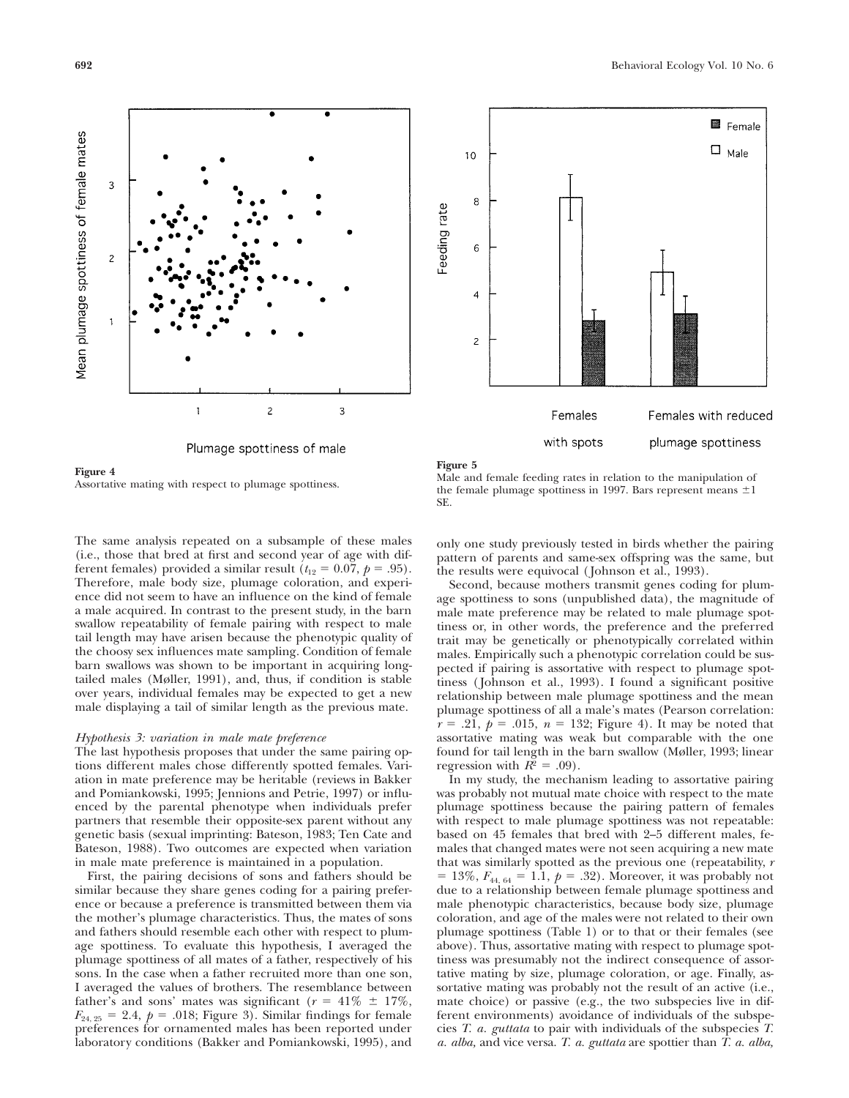Mean plumage spottiness of female mates

 $\overline{\mathbf{3}}$ 

 $\overline{c}$ 

 $\overline{\phantom{a}}$ 

**Figure 4**

 $\overline{c}$ 

Plumage spottiness of male

 $\overline{\mathbf{3}}$ 

Assortative mating with respect to plumage spottiness.

 $\mathbf{1}$ 

The same analysis repeated on a subsample of these males (i.e., those that bred at first and second year of age with different females) provided a similar result ( $t_{12} = 0.07$ ,  $p = .95$ ). Therefore, male body size, plumage coloration, and experience did not seem to have an influence on the kind of female a male acquired. In contrast to the present study, in the barn swallow repeatability of female pairing with respect to male tail length may have arisen because the phenotypic quality of the choosy sex influences mate sampling. Condition of female barn swallows was shown to be important in acquiring longtailed males (Møller, 1991), and, thus, if condition is stable over years, individual females may be expected to get a new male displaying a tail of similar length as the previous mate.

# *Hypothesis 3: variation in male mate preference*

The last hypothesis proposes that under the same pairing options different males chose differently spotted females. Variation in mate preference may be heritable (reviews in Bakker and Pomiankowski, 1995; Jennions and Petrie, 1997) or influenced by the parental phenotype when individuals prefer partners that resemble their opposite-sex parent without any genetic basis (sexual imprinting: Bateson, 1983; Ten Cate and Bateson, 1988). Two outcomes are expected when variation in male mate preference is maintained in a population.

First, the pairing decisions of sons and fathers should be similar because they share genes coding for a pairing preference or because a preference is transmitted between them via the mother's plumage characteristics. Thus, the mates of sons and fathers should resemble each other with respect to plumage spottiness. To evaluate this hypothesis, I averaged the plumage spottiness of all mates of a father, respectively of his sons. In the case when a father recruited more than one son, I averaged the values of brothers. The resemblance between father's and sons' mates was significant ( $r = 41\% \pm 17\%$ ,  $F_{24,25} = 2.4$ ,  $p = .018$ ; Figure 3). Similar findings for female preferences for ornamented males has been reported under laboratory conditions (Bakker and Pomiankowski, 1995), and



**Figure 5**

Male and female feeding rates in relation to the manipulation of the female plumage spottiness in 1997. Bars represent means  $\pm 1$ SE.

only one study previously tested in birds whether the pairing pattern of parents and same-sex offspring was the same, but the results were equivocal ( Johnson et al., 1993).

Second, because mothers transmit genes coding for plumage spottiness to sons (unpublished data), the magnitude of male mate preference may be related to male plumage spottiness or, in other words, the preference and the preferred trait may be genetically or phenotypically correlated within males. Empirically such a phenotypic correlation could be suspected if pairing is assortative with respect to plumage spottiness ( Johnson et al., 1993). I found a significant positive relationship between male plumage spottiness and the mean plumage spottiness of all a male's mates (Pearson correlation:  $r = .21, p = .015, n = 132$ ; Figure 4). It may be noted that assortative mating was weak but comparable with the one found for tail length in the barn swallow (Møller, 1993; linear regression with  $R^2 = .09$ ).

In my study, the mechanism leading to assortative pairing was probably not mutual mate choice with respect to the mate plumage spottiness because the pairing pattern of females with respect to male plumage spottiness was not repeatable: based on 45 females that bred with 2–5 different males, females that changed mates were not seen acquiring a new mate that was similarly spotted as the previous one (repeatability, *r*  $= 13\%, F_{44, 64} = 1.1, p = .32$ . Moreover, it was probably not due to a relationship between female plumage spottiness and male phenotypic characteristics, because body size, plumage coloration, and age of the males were not related to their own plumage spottiness (Table 1) or to that or their females (see above). Thus, assortative mating with respect to plumage spottiness was presumably not the indirect consequence of assortative mating by size, plumage coloration, or age. Finally, assortative mating was probably not the result of an active (i.e., mate choice) or passive (e.g., the two subspecies live in different environments) avoidance of individuals of the subspecies *T. a. guttata* to pair with individuals of the subspecies *T. a. alba,* and vice versa. *T. a. guttata* are spottier than *T. a. alba,*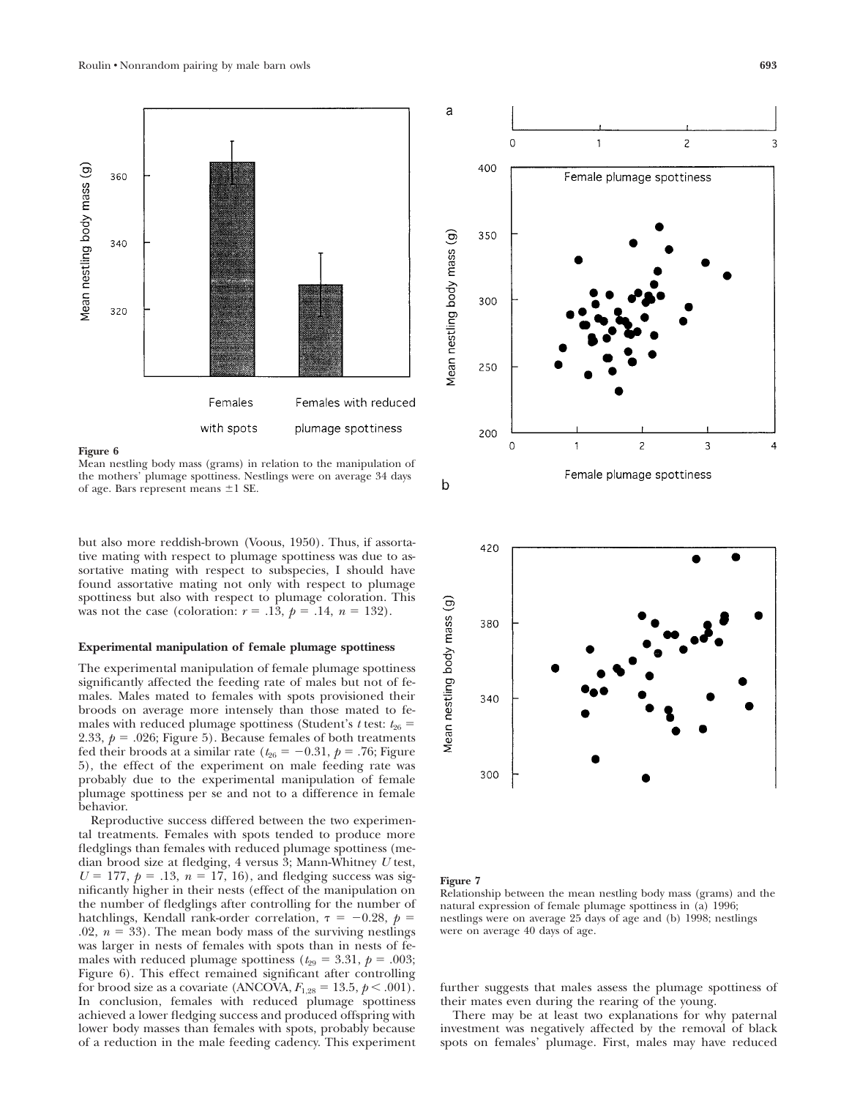

**Figure 6**

Mean nestling body mass (grams) in relation to the manipulation of the mothers' plumage spottiness. Nestlings were on average 34 days of age. Bars represent means  $\pm 1$  SE.

but also more reddish-brown (Voous, 1950). Thus, if assortative mating with respect to plumage spottiness was due to assortative mating with respect to subspecies, I should have found assortative mating not only with respect to plumage spottiness but also with respect to plumage coloration. This was not the case (coloration:  $r = .13$ ,  $p = .14$ ,  $n = 132$ ).

#### **Experimental manipulation of female plumage spottiness**

The experimental manipulation of female plumage spottiness significantly affected the feeding rate of males but not of females. Males mated to females with spots provisioned their broods on average more intensely than those mated to females with reduced plumage spottiness (Student's *t* test:  $t_{26}$  = 2.33,  $p = .026$ ; Figure 5). Because females of both treatments fed their broods at a similar rate ( $t_{26} = -0.31$ ,  $p = .76$ ; Figure 5), the effect of the experiment on male feeding rate was probably due to the experimental manipulation of female plumage spottiness per se and not to a difference in female behavior.

Reproductive success differed between the two experimental treatments. Females with spots tended to produce more fledglings than females with reduced plumage spottiness (median brood size at fledging, 4 versus 3; Mann-Whitney *U* test,  $U = 177$ ,  $p = .13$ ,  $n = 17, 16$ ), and fledging success was significantly higher in their nests (effect of the manipulation on the number of fledglings after controlling for the number of hatchlings, Kendall rank-order correlation,  $\tau = -0.28$ ,  $p =$  $.02, n = 33$ ). The mean body mass of the surviving nestlings was larger in nests of females with spots than in nests of females with reduced plumage spottiness ( $t_{29} = 3.31$ ,  $p = .003$ ; Figure 6). This effect remained significant after controlling for brood size as a covariate (ANCOVA,  $F_{1,28} = 13.5, p < .001$ ). In conclusion, females with reduced plumage spottiness achieved a lower fledging success and produced offspring with lower body masses than females with spots, probably because of a reduction in the male feeding cadency. This experiment





**Figure 7**

Relationship between the mean nestling body mass (grams) and the natural expression of female plumage spottiness in (a) 1996; nestlings were on average 25 days of age and (b) 1998; nestlings were on average 40 days of age.

further suggests that males assess the plumage spottiness of their mates even during the rearing of the young.

There may be at least two explanations for why paternal investment was negatively affected by the removal of black spots on females' plumage. First, males may have reduced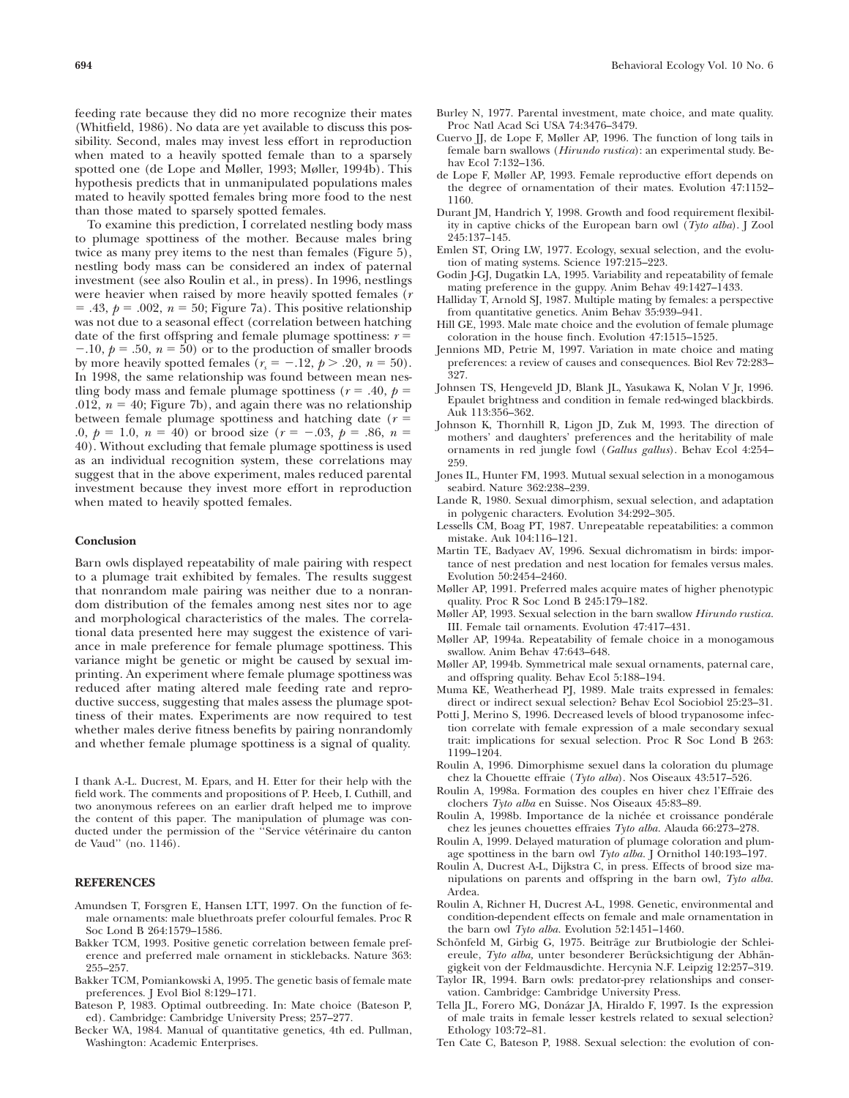feeding rate because they did no more recognize their mates (Whitfield, 1986). No data are yet available to discuss this possibility. Second, males may invest less effort in reproduction when mated to a heavily spotted female than to a sparsely spotted one (de Lope and Møller, 1993; Møller, 1994b). This hypothesis predicts that in unmanipulated populations males mated to heavily spotted females bring more food to the nest than those mated to sparsely spotted females.

To examine this prediction, I correlated nestling body mass to plumage spottiness of the mother. Because males bring twice as many prey items to the nest than females (Figure 5), nestling body mass can be considered an index of paternal investment (see also Roulin et al., in press). In 1996, nestlings were heavier when raised by more heavily spotted females (*r*  $=$  .43,  $p = .002$ ,  $n = 50$ ; Figure 7a). This positive relationship was not due to a seasonal effect (correlation between hatching date of the first offspring and female plumage spottiness:  $r =$  $-10$ ,  $p = 0.50$ ,  $n = 50$  or to the production of smaller broods by more heavily spotted females  $(r_s = -.12, p > .20, n = 50)$ . In 1998, the same relationship was found between mean nestling body mass and female plumage spottiness ( $r = .40$ ,  $p =$ .012,  $n = 40$ ; Figure 7b), and again there was no relationship between female plumage spottiness and hatching date ( $r =$ .0,  $p = 1.0$ ,  $n = 40$ ) or brood size ( $r = -.03$ ,  $p = .86$ ,  $n =$ 40). Without excluding that female plumage spottiness is used as an individual recognition system, these correlations may suggest that in the above experiment, males reduced parental investment because they invest more effort in reproduction when mated to heavily spotted females.

# **Conclusion**

Barn owls displayed repeatability of male pairing with respect to a plumage trait exhibited by females. The results suggest that nonrandom male pairing was neither due to a nonrandom distribution of the females among nest sites nor to age and morphological characteristics of the males. The correlational data presented here may suggest the existence of variance in male preference for female plumage spottiness. This variance might be genetic or might be caused by sexual imprinting. An experiment where female plumage spottiness was reduced after mating altered male feeding rate and reproductive success, suggesting that males assess the plumage spottiness of their mates. Experiments are now required to test whether males derive fitness benefits by pairing nonrandomly and whether female plumage spottiness is a signal of quality.

I thank A.-L. Ducrest, M. Epars, and H. Etter for their help with the field work. The comments and propositions of P. Heeb, I. Cuthill, and two anonymous referees on an earlier draft helped me to improve the content of this paper. The manipulation of plumage was conducted under the permission of the "Service vétérinaire du canton de Vaud'' (no. 1146).

# **REFERENCES**

- Amundsen T, Forsgren E, Hansen LTT, 1997. On the function of female ornaments: male bluethroats prefer colourful females. Proc R Soc Lond B 264:1579–1586.
- Bakker TCM, 1993. Positive genetic correlation between female preference and preferred male ornament in sticklebacks. Nature 363: 255–257.
- Bakker TCM, Pomiankowski A, 1995. The genetic basis of female mate preferences. J Evol Biol 8:129–171.
- Bateson P, 1983. Optimal outbreeding. In: Mate choice (Bateson P, ed). Cambridge: Cambridge University Press; 257–277.
- Becker WA, 1984. Manual of quantitative genetics, 4th ed. Pullman, Washington: Academic Enterprises.
- Burley N, 1977. Parental investment, mate choice, and mate quality. Proc Natl Acad Sci USA 74:3476–3479.
- Cuervo JJ, de Lope F, Møller AP, 1996. The function of long tails in female barn swallows (*Hirundo rustica*): an experimental study. Behav Ecol 7:132–136.
- de Lope F, Møller AP, 1993. Female reproductive effort depends on the degree of ornamentation of their mates. Evolution 47:1152– 1160.
- Durant JM, Handrich Y, 1998. Growth and food requirement flexibility in captive chicks of the European barn owl (*Tyto alba*). J Zool 245:137–145.
- Emlen ST, Oring LW, 1977. Ecology, sexual selection, and the evolution of mating systems. Science 197:215–223.
- Godin J-GJ, Dugatkin LA, 1995. Variability and repeatability of female mating preference in the guppy. Anim Behav 49:1427–1433.
- Halliday T, Arnold SJ, 1987. Multiple mating by females: a perspective from quantitative genetics. Anim Behav 35:939–941.
- Hill GE, 1993. Male mate choice and the evolution of female plumage coloration in the house finch. Evolution 47:1515–1525.
- Jennions MD, Petrie M, 1997. Variation in mate choice and mating preferences: a review of causes and consequences. Biol Rev 72:283– 327.
- Johnsen TS, Hengeveld JD, Blank JL, Yasukawa K, Nolan V Jr, 1996. Epaulet brightness and condition in female red-winged blackbirds. Auk 113:356–362.
- Johnson K, Thornhill R, Ligon JD, Zuk M, 1993. The direction of mothers' and daughters' preferences and the heritability of male ornaments in red jungle fowl (*Gallus gallus*). Behav Ecol 4:254– 259.
- Jones IL, Hunter FM, 1993. Mutual sexual selection in a monogamous seabird. Nature 362:238–239.
- Lande R, 1980. Sexual dimorphism, sexual selection, and adaptation in polygenic characters. Evolution 34:292–305.
- Lessells CM, Boag PT, 1987. Unrepeatable repeatabilities: a common mistake. Auk 104:116–121.
- Martin TE, Badyaev AV, 1996. Sexual dichromatism in birds: importance of nest predation and nest location for females versus males. Evolution 50:2454–2460.
- Møller AP, 1991. Preferred males acquire mates of higher phenotypic quality. Proc R Soc Lond B 245:179–182.
- Møller AP, 1993. Sexual selection in the barn swallow *Hirundo rustica.* III. Female tail ornaments. Evolution 47:417–431.
- Møller AP, 1994a. Repeatability of female choice in a monogamous swallow. Anim Behav 47:643–648.
- Møller AP, 1994b. Symmetrical male sexual ornaments, paternal care, and offspring quality. Behav Ecol 5:188–194.
- Muma KE, Weatherhead PJ, 1989. Male traits expressed in females: direct or indirect sexual selection? Behav Ecol Sociobiol 25:23–31.
- Potti J, Merino S, 1996. Decreased levels of blood trypanosome infection correlate with female expression of a male secondary sexual trait: implications for sexual selection. Proc R Soc Lond B 263: 1199–1204.
- Roulin A, 1996. Dimorphisme sexuel dans la coloration du plumage chez la Chouette effraie (*Tyto alba*). Nos Oiseaux 43:517–526.
- Roulin A, 1998a. Formation des couples en hiver chez l'Effraie des clochers *Tyto alba* en Suisse. Nos Oiseaux 45:83–89.
- Roulin A, 1998b. Importance de la nichée et croissance pondérale chez les jeunes chouettes effraies *Tyto alba.* Alauda 66:273–278.
- Roulin A, 1999. Delayed maturation of plumage coloration and plumage spottiness in the barn owl *Tyto alba.* J Ornithol 140:193–197.
- Roulin A, Ducrest A-L, Dijkstra C, in press. Effects of brood size manipulations on parents and offspring in the barn owl, *Tyto alba.* Ardea.
- Roulin A, Richner H, Ducrest A-L, 1998. Genetic, environmental and condition-dependent effects on female and male ornamentation in the barn owl *Tyto alba.* Evolution 52:1451–1460.
- Schönfeld M, Girbig G, 1975. Beiträge zur Brutbiologie der Schleiereule, Tyto alba, unter besonderer Berücksichtigung der Abhängigkeit von der Feldmausdichte. Hercynia N.F. Leipzig 12:257–319.
- Taylor IR, 1994. Barn owls: predator-prey relationships and conservation. Cambridge: Cambridge University Press.
- Tella JL, Forero MG, Donázar JA, Hiraldo F, 1997. Is the expression of male traits in female lesser kestrels related to sexual selection? Ethology 103:72–81.
- Ten Cate C, Bateson P, 1988. Sexual selection: the evolution of con-